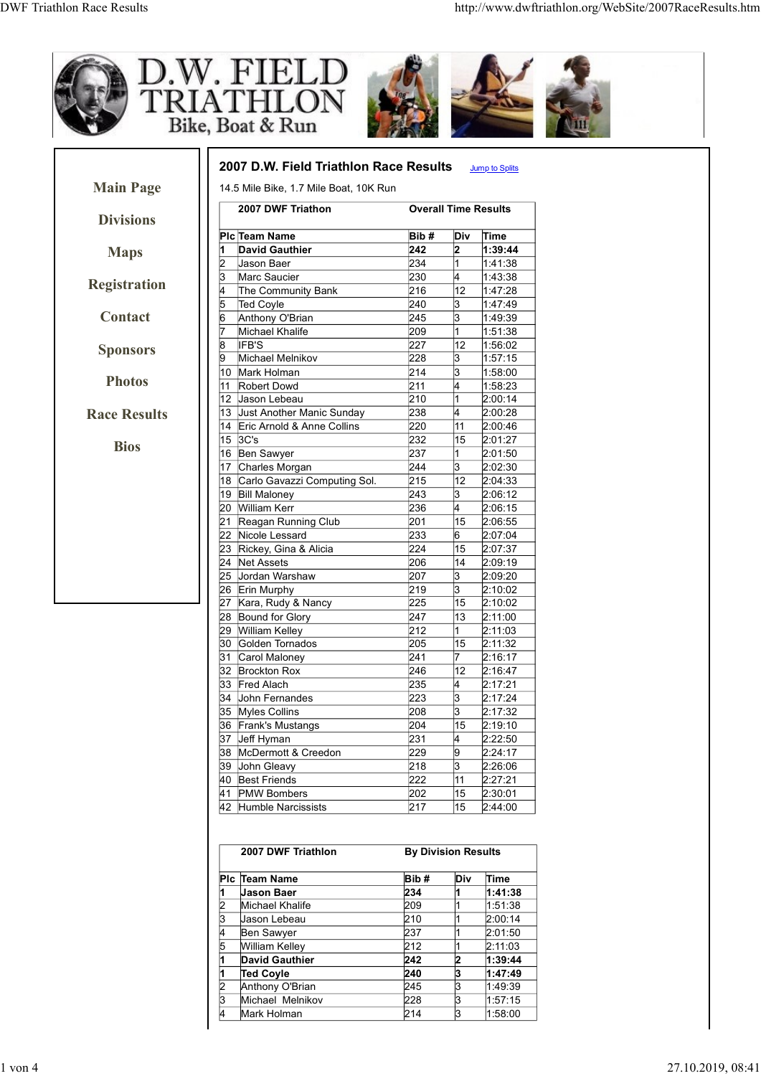

|   | 2007 DWF Triathlon | <b>By Division Results</b> |     |         |
|---|--------------------|----------------------------|-----|---------|
|   | PIc Team Name      | Bib#                       | Div | Time    |
|   | Uason Baer         | 234                        |     | 1:41:38 |
| 2 | Michael Khalife    | 209                        |     | 1:51:38 |
| 3 | Uason Lebeau       | 210                        |     | 2:00:14 |
|   | Ben Sawyer         | 237                        |     | 2:01:50 |
| 5 | William Kelley     | 212                        |     | 2:11:03 |
|   | David Gauthier     | 242                        | 2   | 1:39:44 |
|   | <b>Ted Coyle</b>   | 240                        | 3   | 1:47:49 |
| 2 | Anthony O'Brian    | 245                        | 13  | 1.49:39 |
| З | Michael Melnikov   | 228                        | 3   | 1:57:15 |
|   | Mark Holman        | 214                        | 3   | 1:58:00 |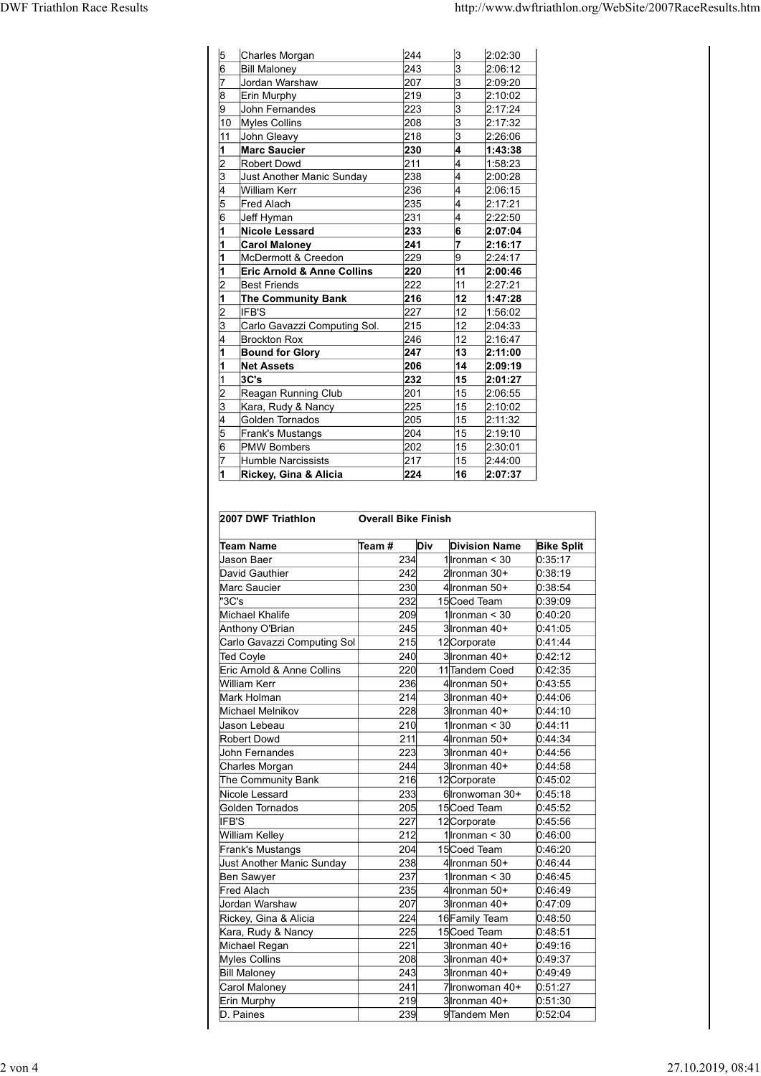| <b>DWF Triathlon Race Results</b> |                     |                                              |                            |                                    | http://www.dwftriathlon.org/WebSite/2007RaceResults.htm |                    |
|-----------------------------------|---------------------|----------------------------------------------|----------------------------|------------------------------------|---------------------------------------------------------|--------------------|
|                                   |                     |                                              |                            |                                    |                                                         |                    |
|                                   |                     |                                              |                            |                                    |                                                         |                    |
|                                   | 15                  | Charles Morgan<br><b>Bill Maloney</b>        | 244<br>243                 | 3<br>3                             | 2:02:30<br>2:06:12                                      |                    |
|                                   |                     | Jordan Warshaw                               | 207                        | 13                                 | 2:09:20                                                 |                    |
|                                   | 19                  | Erin Murphy<br>John Fernandes                | 219<br>223                 | l3<br>3                            | 2:10:02<br>2:17:24                                      |                    |
|                                   | 10                  | Myles Collins                                | 208                        | 3                                  | 2:17:32                                                 |                    |
|                                   | 11                  | John Gleavy<br><b>Marc Saucier</b>           | 218<br>230                 | I٩                                 | 2:26:06<br>1:43:38                                      |                    |
|                                   |                     | Robert Dowd                                  | 211                        | 14                                 | 1:58:23                                                 |                    |
|                                   | 13                  | Just Another Manic Sunday                    | 238                        | 4                                  | 2:00:28                                                 |                    |
|                                   |                     | William Kerr<br>Fred Alach                   | 236<br>235                 |                                    | 2:06:15<br>2:17:21                                      |                    |
|                                   |                     | Jeff Hyman                                   | 231                        |                                    | 2:22:50                                                 |                    |
|                                   |                     | <b>Nicole Lessard</b>                        | 233<br>241                 | 6<br>17                            | 2:07:04<br>2:16:17                                      |                    |
|                                   |                     | <b>Carol Maloney</b><br>McDermott & Creedon  | 229                        | 9                                  | 2:24:17                                                 |                    |
|                                   |                     | <b>Eric Arnold &amp; Anne Collins</b>        | 220                        | $ 11\rangle$                       | 2:00:46                                                 |                    |
|                                   | $\vert$ 2           | Best Friends<br>The Community Bank           | 222<br>216                 | $ 11\rangle$<br> 12                | 2:27:21<br>1:47:28                                      |                    |
|                                   | 12                  | IFB'S                                        | 227                        | 12                                 | 1:56:02                                                 |                    |
|                                   | 3                   | Carlo Gavazzi Computing Sol.<br>Brockton Rox | 215<br>246                 | $ 12\rangle$<br>12                 | 2:04:33<br>2:16:47                                      |                    |
|                                   |                     | <b>Bound for Glory</b>                       | 247                        | $ 13\rangle$                       | 2:11:00                                                 |                    |
|                                   |                     | <b>Net Assets</b><br>3C's                    | 206<br>232                 | 14 <br>15                          | 2:09:19<br>2:01:27                                      |                    |
|                                   | 3                   | Reagan Running Club<br>Kara, Rudy & Nancy    | 201<br>225                 | 15<br>15                           | 2:06:55<br>2:10:02                                      |                    |
|                                   |                     | Golden Tornados                              | 205                        | 15                                 | 2:11:32                                                 |                    |
|                                   | 5<br>$\overline{6}$ | Frank's Mustangs<br><b>PMW Bombers</b>       | 204<br>202                 | $ 15\rangle$<br>$ 15\rangle$       | 2:19:10<br>2:30:01                                      |                    |
|                                   |                     | Humble Narcissists                           | 217                        | 15                                 | 2:44:00                                                 |                    |
|                                   |                     | Rickey, Gina & Alicia                        | 224                        | 16                                 | 2:07:37                                                 |                    |
|                                   |                     |                                              |                            |                                    |                                                         |                    |
|                                   |                     | 2007 DWF Triathlon                           | <b>Overall Bike Finish</b> |                                    |                                                         |                    |
|                                   |                     | $\sqrt{\text{Team}}$ #<br>Team Name          | Div                        |                                    | <b>Division Name</b>                                    | <b>Bike Split</b>  |
|                                   |                     | Jason Baer<br>David Gauthier                 | 234<br>242                 | 1 $l$ ronman < 30<br>2Ironman 30+  |                                                         | 0:35:17<br>0.38:19 |
|                                   |                     | Marc Saucier                                 | 230                        | 4 Ironman 50+                      |                                                         | 0:38:54            |
|                                   |                     | "3C's                                        | 232                        | 15Coed Team                        |                                                         | 0:39:09            |
|                                   |                     | Michael Khalife<br>Anthony O'Brian           | 209<br>245                 | 1 $l$ ronman < 30<br>3 Ironman 40+ |                                                         | 0:40:20<br>0:41:05 |
|                                   |                     | Carlo Gavazzi Computing Sol                  | 215                        | 12 Corporate                       |                                                         | 0:41:44            |
|                                   |                     | Ted Coyle<br>Eric Arnold & Anne Collins      | 240<br>220                 | 3Tronman 40+<br>11 Tandem Coed     |                                                         | 0:42:12            |
|                                   |                     |                                              |                            |                                    |                                                         | 0:42:35            |

| <b>The Community Bank</b><br>IFB'S<br>Carlo Gavazzi Computing Sol. | 216<br>227                                                                                                                                                                                                                                                                                                                                                                                                                                                                                                                     |                                                                                                                                                                                             | 12                                                          | 1:47:28                                                                    |                                                                                                                                                                                                                                                                                                                                                                                                                                                                                                                                                                                                                                                                                                                         |
|--------------------------------------------------------------------|--------------------------------------------------------------------------------------------------------------------------------------------------------------------------------------------------------------------------------------------------------------------------------------------------------------------------------------------------------------------------------------------------------------------------------------------------------------------------------------------------------------------------------|---------------------------------------------------------------------------------------------------------------------------------------------------------------------------------------------|-------------------------------------------------------------|----------------------------------------------------------------------------|-------------------------------------------------------------------------------------------------------------------------------------------------------------------------------------------------------------------------------------------------------------------------------------------------------------------------------------------------------------------------------------------------------------------------------------------------------------------------------------------------------------------------------------------------------------------------------------------------------------------------------------------------------------------------------------------------------------------------|
|                                                                    |                                                                                                                                                                                                                                                                                                                                                                                                                                                                                                                                |                                                                                                                                                                                             |                                                             |                                                                            |                                                                                                                                                                                                                                                                                                                                                                                                                                                                                                                                                                                                                                                                                                                         |
|                                                                    |                                                                                                                                                                                                                                                                                                                                                                                                                                                                                                                                |                                                                                                                                                                                             | 12                                                          | 1:56:02                                                                    |                                                                                                                                                                                                                                                                                                                                                                                                                                                                                                                                                                                                                                                                                                                         |
|                                                                    | 215                                                                                                                                                                                                                                                                                                                                                                                                                                                                                                                            |                                                                                                                                                                                             | 12                                                          | 2:04:33                                                                    |                                                                                                                                                                                                                                                                                                                                                                                                                                                                                                                                                                                                                                                                                                                         |
| <b>Brockton Rox</b>                                                | 246                                                                                                                                                                                                                                                                                                                                                                                                                                                                                                                            |                                                                                                                                                                                             | 12                                                          | 2:16:47                                                                    |                                                                                                                                                                                                                                                                                                                                                                                                                                                                                                                                                                                                                                                                                                                         |
| <b>Bound for Glory</b>                                             | 247                                                                                                                                                                                                                                                                                                                                                                                                                                                                                                                            |                                                                                                                                                                                             | 13                                                          | 2:11:00                                                                    |                                                                                                                                                                                                                                                                                                                                                                                                                                                                                                                                                                                                                                                                                                                         |
| <b>Net Assets</b>                                                  | 206                                                                                                                                                                                                                                                                                                                                                                                                                                                                                                                            |                                                                                                                                                                                             | 14                                                          | 2:09:19                                                                    |                                                                                                                                                                                                                                                                                                                                                                                                                                                                                                                                                                                                                                                                                                                         |
| 3C's                                                               |                                                                                                                                                                                                                                                                                                                                                                                                                                                                                                                                |                                                                                                                                                                                             |                                                             |                                                                            |                                                                                                                                                                                                                                                                                                                                                                                                                                                                                                                                                                                                                                                                                                                         |
|                                                                    |                                                                                                                                                                                                                                                                                                                                                                                                                                                                                                                                |                                                                                                                                                                                             |                                                             |                                                                            |                                                                                                                                                                                                                                                                                                                                                                                                                                                                                                                                                                                                                                                                                                                         |
|                                                                    |                                                                                                                                                                                                                                                                                                                                                                                                                                                                                                                                |                                                                                                                                                                                             |                                                             |                                                                            |                                                                                                                                                                                                                                                                                                                                                                                                                                                                                                                                                                                                                                                                                                                         |
|                                                                    |                                                                                                                                                                                                                                                                                                                                                                                                                                                                                                                                |                                                                                                                                                                                             |                                                             |                                                                            |                                                                                                                                                                                                                                                                                                                                                                                                                                                                                                                                                                                                                                                                                                                         |
|                                                                    |                                                                                                                                                                                                                                                                                                                                                                                                                                                                                                                                |                                                                                                                                                                                             |                                                             |                                                                            |                                                                                                                                                                                                                                                                                                                                                                                                                                                                                                                                                                                                                                                                                                                         |
|                                                                    |                                                                                                                                                                                                                                                                                                                                                                                                                                                                                                                                |                                                                                                                                                                                             |                                                             |                                                                            |                                                                                                                                                                                                                                                                                                                                                                                                                                                                                                                                                                                                                                                                                                                         |
|                                                                    |                                                                                                                                                                                                                                                                                                                                                                                                                                                                                                                                |                                                                                                                                                                                             |                                                             |                                                                            |                                                                                                                                                                                                                                                                                                                                                                                                                                                                                                                                                                                                                                                                                                                         |
|                                                                    |                                                                                                                                                                                                                                                                                                                                                                                                                                                                                                                                |                                                                                                                                                                                             |                                                             |                                                                            |                                                                                                                                                                                                                                                                                                                                                                                                                                                                                                                                                                                                                                                                                                                         |
|                                                                    |                                                                                                                                                                                                                                                                                                                                                                                                                                                                                                                                |                                                                                                                                                                                             |                                                             |                                                                            |                                                                                                                                                                                                                                                                                                                                                                                                                                                                                                                                                                                                                                                                                                                         |
| 2007 DWF Triathlon                                                 |                                                                                                                                                                                                                                                                                                                                                                                                                                                                                                                                |                                                                                                                                                                                             |                                                             |                                                                            |                                                                                                                                                                                                                                                                                                                                                                                                                                                                                                                                                                                                                                                                                                                         |
|                                                                    |                                                                                                                                                                                                                                                                                                                                                                                                                                                                                                                                |                                                                                                                                                                                             |                                                             |                                                                            | <b>Bike Split</b>                                                                                                                                                                                                                                                                                                                                                                                                                                                                                                                                                                                                                                                                                                       |
|                                                                    |                                                                                                                                                                                                                                                                                                                                                                                                                                                                                                                                |                                                                                                                                                                                             |                                                             |                                                                            | 0:35:17                                                                                                                                                                                                                                                                                                                                                                                                                                                                                                                                                                                                                                                                                                                 |
|                                                                    |                                                                                                                                                                                                                                                                                                                                                                                                                                                                                                                                |                                                                                                                                                                                             |                                                             |                                                                            | 0.38:19                                                                                                                                                                                                                                                                                                                                                                                                                                                                                                                                                                                                                                                                                                                 |
| Marc Saucier                                                       |                                                                                                                                                                                                                                                                                                                                                                                                                                                                                                                                |                                                                                                                                                                                             |                                                             |                                                                            | 0:38:54                                                                                                                                                                                                                                                                                                                                                                                                                                                                                                                                                                                                                                                                                                                 |
| "3C's                                                              |                                                                                                                                                                                                                                                                                                                                                                                                                                                                                                                                |                                                                                                                                                                                             |                                                             |                                                                            | 0.39.09                                                                                                                                                                                                                                                                                                                                                                                                                                                                                                                                                                                                                                                                                                                 |
| Michael Khalife                                                    | 209                                                                                                                                                                                                                                                                                                                                                                                                                                                                                                                            |                                                                                                                                                                                             |                                                             |                                                                            | 0.40:20                                                                                                                                                                                                                                                                                                                                                                                                                                                                                                                                                                                                                                                                                                                 |
| Anthony O'Brian                                                    | 245                                                                                                                                                                                                                                                                                                                                                                                                                                                                                                                            |                                                                                                                                                                                             |                                                             |                                                                            | 0.41.05                                                                                                                                                                                                                                                                                                                                                                                                                                                                                                                                                                                                                                                                                                                 |
| Carlo Gavazzi Computing Sol                                        |                                                                                                                                                                                                                                                                                                                                                                                                                                                                                                                                |                                                                                                                                                                                             |                                                             |                                                                            | 0.41.44                                                                                                                                                                                                                                                                                                                                                                                                                                                                                                                                                                                                                                                                                                                 |
| Ted Coyle                                                          | 240                                                                                                                                                                                                                                                                                                                                                                                                                                                                                                                            |                                                                                                                                                                                             |                                                             |                                                                            | 0.42:12                                                                                                                                                                                                                                                                                                                                                                                                                                                                                                                                                                                                                                                                                                                 |
|                                                                    |                                                                                                                                                                                                                                                                                                                                                                                                                                                                                                                                |                                                                                                                                                                                             |                                                             |                                                                            | 0:42:35                                                                                                                                                                                                                                                                                                                                                                                                                                                                                                                                                                                                                                                                                                                 |
|                                                                    |                                                                                                                                                                                                                                                                                                                                                                                                                                                                                                                                |                                                                                                                                                                                             |                                                             |                                                                            | 0:43:55                                                                                                                                                                                                                                                                                                                                                                                                                                                                                                                                                                                                                                                                                                                 |
|                                                                    |                                                                                                                                                                                                                                                                                                                                                                                                                                                                                                                                |                                                                                                                                                                                             |                                                             |                                                                            | 0.44.06                                                                                                                                                                                                                                                                                                                                                                                                                                                                                                                                                                                                                                                                                                                 |
|                                                                    |                                                                                                                                                                                                                                                                                                                                                                                                                                                                                                                                |                                                                                                                                                                                             |                                                             |                                                                            | 0.44:10                                                                                                                                                                                                                                                                                                                                                                                                                                                                                                                                                                                                                                                                                                                 |
|                                                                    |                                                                                                                                                                                                                                                                                                                                                                                                                                                                                                                                |                                                                                                                                                                                             |                                                             |                                                                            | 0.44.11                                                                                                                                                                                                                                                                                                                                                                                                                                                                                                                                                                                                                                                                                                                 |
|                                                                    |                                                                                                                                                                                                                                                                                                                                                                                                                                                                                                                                |                                                                                                                                                                                             |                                                             |                                                                            | 0.44.34                                                                                                                                                                                                                                                                                                                                                                                                                                                                                                                                                                                                                                                                                                                 |
|                                                                    |                                                                                                                                                                                                                                                                                                                                                                                                                                                                                                                                |                                                                                                                                                                                             |                                                             |                                                                            |                                                                                                                                                                                                                                                                                                                                                                                                                                                                                                                                                                                                                                                                                                                         |
|                                                                    |                                                                                                                                                                                                                                                                                                                                                                                                                                                                                                                                |                                                                                                                                                                                             |                                                             |                                                                            | 0.44.56                                                                                                                                                                                                                                                                                                                                                                                                                                                                                                                                                                                                                                                                                                                 |
|                                                                    |                                                                                                                                                                                                                                                                                                                                                                                                                                                                                                                                |                                                                                                                                                                                             |                                                             |                                                                            | 0.44.58                                                                                                                                                                                                                                                                                                                                                                                                                                                                                                                                                                                                                                                                                                                 |
|                                                                    |                                                                                                                                                                                                                                                                                                                                                                                                                                                                                                                                |                                                                                                                                                                                             |                                                             |                                                                            | 0.45:02                                                                                                                                                                                                                                                                                                                                                                                                                                                                                                                                                                                                                                                                                                                 |
| Nicole Lessard                                                     |                                                                                                                                                                                                                                                                                                                                                                                                                                                                                                                                |                                                                                                                                                                                             |                                                             |                                                                            | 0.45:18                                                                                                                                                                                                                                                                                                                                                                                                                                                                                                                                                                                                                                                                                                                 |
| Golden Tornados                                                    | 205                                                                                                                                                                                                                                                                                                                                                                                                                                                                                                                            |                                                                                                                                                                                             |                                                             |                                                                            | 0.45:52                                                                                                                                                                                                                                                                                                                                                                                                                                                                                                                                                                                                                                                                                                                 |
| IFB'S                                                              | 227                                                                                                                                                                                                                                                                                                                                                                                                                                                                                                                            |                                                                                                                                                                                             |                                                             |                                                                            | 0.45.56                                                                                                                                                                                                                                                                                                                                                                                                                                                                                                                                                                                                                                                                                                                 |
| William Kelley                                                     | 212                                                                                                                                                                                                                                                                                                                                                                                                                                                                                                                            |                                                                                                                                                                                             |                                                             |                                                                            | 0.46:00                                                                                                                                                                                                                                                                                                                                                                                                                                                                                                                                                                                                                                                                                                                 |
| Frank's Mustangs                                                   |                                                                                                                                                                                                                                                                                                                                                                                                                                                                                                                                |                                                                                                                                                                                             |                                                             |                                                                            | 0.46:20                                                                                                                                                                                                                                                                                                                                                                                                                                                                                                                                                                                                                                                                                                                 |
| <b>Just Another Manic Sunday</b>                                   |                                                                                                                                                                                                                                                                                                                                                                                                                                                                                                                                |                                                                                                                                                                                             |                                                             |                                                                            | 0.46.44                                                                                                                                                                                                                                                                                                                                                                                                                                                                                                                                                                                                                                                                                                                 |
| Ben Sawyer                                                         | 237                                                                                                                                                                                                                                                                                                                                                                                                                                                                                                                            |                                                                                                                                                                                             |                                                             |                                                                            | 0.46.45                                                                                                                                                                                                                                                                                                                                                                                                                                                                                                                                                                                                                                                                                                                 |
| Fred Alach                                                         |                                                                                                                                                                                                                                                                                                                                                                                                                                                                                                                                |                                                                                                                                                                                             |                                                             |                                                                            | 0.46:49                                                                                                                                                                                                                                                                                                                                                                                                                                                                                                                                                                                                                                                                                                                 |
|                                                                    |                                                                                                                                                                                                                                                                                                                                                                                                                                                                                                                                |                                                                                                                                                                                             |                                                             |                                                                            | 0.47:09                                                                                                                                                                                                                                                                                                                                                                                                                                                                                                                                                                                                                                                                                                                 |
|                                                                    |                                                                                                                                                                                                                                                                                                                                                                                                                                                                                                                                |                                                                                                                                                                                             |                                                             |                                                                            | 0.48:50                                                                                                                                                                                                                                                                                                                                                                                                                                                                                                                                                                                                                                                                                                                 |
|                                                                    |                                                                                                                                                                                                                                                                                                                                                                                                                                                                                                                                |                                                                                                                                                                                             |                                                             |                                                                            | 0.48.51                                                                                                                                                                                                                                                                                                                                                                                                                                                                                                                                                                                                                                                                                                                 |
|                                                                    |                                                                                                                                                                                                                                                                                                                                                                                                                                                                                                                                |                                                                                                                                                                                             |                                                             |                                                                            |                                                                                                                                                                                                                                                                                                                                                                                                                                                                                                                                                                                                                                                                                                                         |
|                                                                    |                                                                                                                                                                                                                                                                                                                                                                                                                                                                                                                                |                                                                                                                                                                                             |                                                             |                                                                            | 0.49.16                                                                                                                                                                                                                                                                                                                                                                                                                                                                                                                                                                                                                                                                                                                 |
|                                                                    |                                                                                                                                                                                                                                                                                                                                                                                                                                                                                                                                |                                                                                                                                                                                             |                                                             |                                                                            | 0.49.37                                                                                                                                                                                                                                                                                                                                                                                                                                                                                                                                                                                                                                                                                                                 |
|                                                                    |                                                                                                                                                                                                                                                                                                                                                                                                                                                                                                                                |                                                                                                                                                                                             |                                                             |                                                                            | 0.49.49                                                                                                                                                                                                                                                                                                                                                                                                                                                                                                                                                                                                                                                                                                                 |
|                                                                    |                                                                                                                                                                                                                                                                                                                                                                                                                                                                                                                                |                                                                                                                                                                                             |                                                             |                                                                            | 0.51.27                                                                                                                                                                                                                                                                                                                                                                                                                                                                                                                                                                                                                                                                                                                 |
| Erin Murphy                                                        |                                                                                                                                                                                                                                                                                                                                                                                                                                                                                                                                |                                                                                                                                                                                             |                                                             |                                                                            | 0.51:30                                                                                                                                                                                                                                                                                                                                                                                                                                                                                                                                                                                                                                                                                                                 |
| D. Paines                                                          | 239                                                                                                                                                                                                                                                                                                                                                                                                                                                                                                                            |                                                                                                                                                                                             |                                                             |                                                                            | 0.52:04                                                                                                                                                                                                                                                                                                                                                                                                                                                                                                                                                                                                                                                                                                                 |
|                                                                    | Reagan Running Club<br>Kara, Rudy & Nancy<br>Golden Tornados<br>Frank's Mustangs<br><b>PMW Bombers</b><br>Humble Narcissists<br>Rickey, Gina & Alicia<br><b>Team Name</b><br>Jason Baer<br>David Gauthier<br>Eric Arnold & Anne Collins<br>William Kerr<br>Mark Holman<br>Michael Melnikov<br>Jason Lebeau<br>Robert Dowd<br>John Fernandes<br>Charles Morgan<br>The Community Bank<br>Jordan Warshaw<br>Rickey, Gina & Alicia<br>Kara, Rudy & Nancy<br>Michael Regan<br>Myles Collins<br><b>Bill Maloney</b><br>Carol Maloney | Team#<br>234<br>242<br>230<br>232<br>215<br>220<br>236<br>214<br>228<br>210<br>211<br>223<br>244<br>216<br>233<br>204<br>238<br>235<br>207<br>224<br>225<br>221<br>208<br>243<br>241<br>219 | 232<br>201<br>225<br>205<br>204<br>202<br>217<br>224<br>Div | 15<br>15<br>15<br>15<br>15<br>15<br>15<br>16<br><b>Overall Bike Finish</b> | 2:01:27<br>2:06:55<br>2:10:02<br>2:11:32<br>2:19:10<br>2:30:01<br>2:44:00<br>2:07:37<br><b>Division Name</b><br>1 Ironman $<$ 30<br>2Ironman 30+<br>4 Ironman 50+<br>15 Coed Team<br>1 Ironman $<$ 30<br>3 Ironman 40+<br>12 Corporate<br>3 Ironman 40+<br>11 Tandem Coed<br>4 Ironman 50+<br>3 Ironman 40+<br>3 Ironman 40+<br>1 Ironman $<$ 30<br>4 Ironman 50+<br>3 Ironman 40+<br>3 Ironman 40+<br>12 Corporate<br>6 Ironwoman 30+<br>15 Coed Team<br>12 Corporate<br>1 Ironman $<$ 30<br>15Coed Team<br>4 Ironman 50+<br>1 Ironman $<$ 30<br>4 Ironman 50+<br>3 Ironman 40+<br>16 Family Team<br>15 Coed Team<br>3 Ironman 40+<br>3Ironman 40+<br>3 Ironman 40+<br>7 Ironwoman 40+<br>3 Ironman 40+<br>9Tandem Men |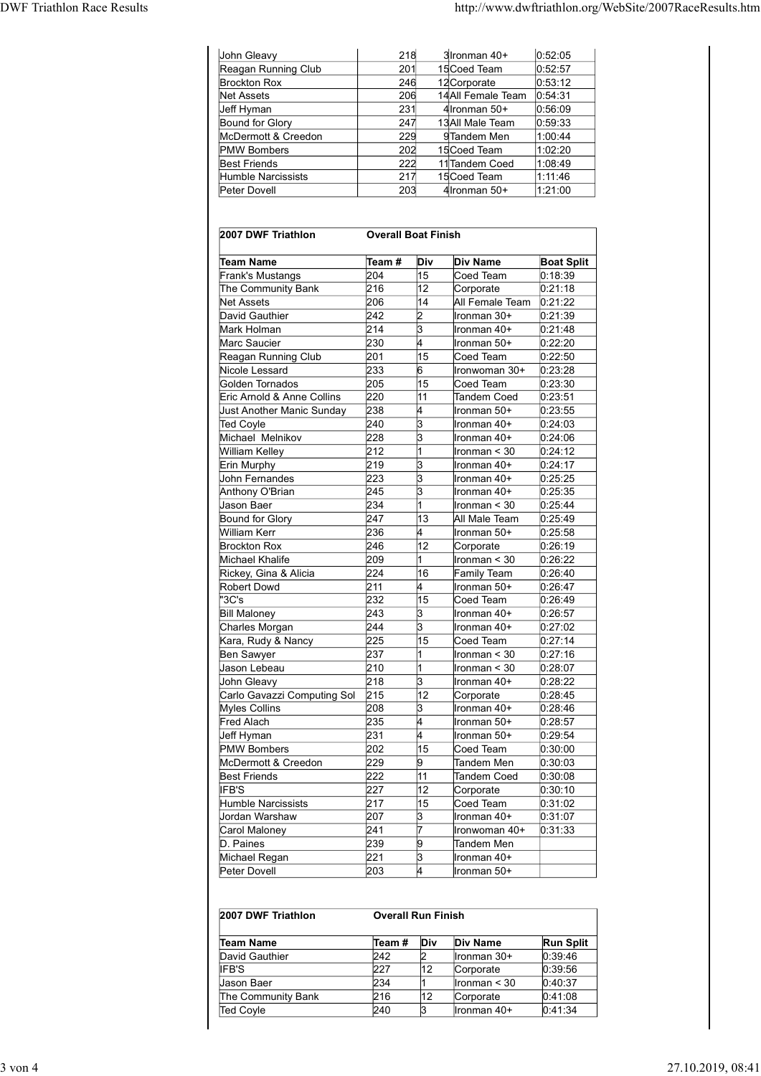|                                    |                                                                                                                                                        |                                                                                                                                                                                            | http://www.dwftriathlon.org/WebSite/2007RaceResults.htm |                                                                                                                                                                                                                                                                                                                                                                                                                                                                                                                                                                                                                                                                                                                                                                                                                                                                                                                                                            |
|------------------------------------|--------------------------------------------------------------------------------------------------------------------------------------------------------|--------------------------------------------------------------------------------------------------------------------------------------------------------------------------------------------|---------------------------------------------------------|------------------------------------------------------------------------------------------------------------------------------------------------------------------------------------------------------------------------------------------------------------------------------------------------------------------------------------------------------------------------------------------------------------------------------------------------------------------------------------------------------------------------------------------------------------------------------------------------------------------------------------------------------------------------------------------------------------------------------------------------------------------------------------------------------------------------------------------------------------------------------------------------------------------------------------------------------------|
|                                    |                                                                                                                                                        |                                                                                                                                                                                            |                                                         |                                                                                                                                                                                                                                                                                                                                                                                                                                                                                                                                                                                                                                                                                                                                                                                                                                                                                                                                                            |
|                                    | 218<br>201                                                                                                                                             |                                                                                                                                                                                            | 3 Ironman 40+<br>15 Coed Team                           | 0:52:05<br>0:52:57                                                                                                                                                                                                                                                                                                                                                                                                                                                                                                                                                                                                                                                                                                                                                                                                                                                                                                                                         |
|                                    |                                                                                                                                                        |                                                                                                                                                                                            |                                                         | 0:53:12                                                                                                                                                                                                                                                                                                                                                                                                                                                                                                                                                                                                                                                                                                                                                                                                                                                                                                                                                    |
|                                    |                                                                                                                                                        |                                                                                                                                                                                            |                                                         | 0.56:09                                                                                                                                                                                                                                                                                                                                                                                                                                                                                                                                                                                                                                                                                                                                                                                                                                                                                                                                                    |
|                                    |                                                                                                                                                        |                                                                                                                                                                                            |                                                         | 0.59.33<br>1:00:44                                                                                                                                                                                                                                                                                                                                                                                                                                                                                                                                                                                                                                                                                                                                                                                                                                                                                                                                         |
|                                    |                                                                                                                                                        |                                                                                                                                                                                            |                                                         | 1:02:20                                                                                                                                                                                                                                                                                                                                                                                                                                                                                                                                                                                                                                                                                                                                                                                                                                                                                                                                                    |
|                                    |                                                                                                                                                        |                                                                                                                                                                                            |                                                         | 1:08:49<br>1:11:46                                                                                                                                                                                                                                                                                                                                                                                                                                                                                                                                                                                                                                                                                                                                                                                                                                                                                                                                         |
|                                    |                                                                                                                                                        |                                                                                                                                                                                            |                                                         | 1:21:00                                                                                                                                                                                                                                                                                                                                                                                                                                                                                                                                                                                                                                                                                                                                                                                                                                                                                                                                                    |
|                                    |                                                                                                                                                        |                                                                                                                                                                                            |                                                         |                                                                                                                                                                                                                                                                                                                                                                                                                                                                                                                                                                                                                                                                                                                                                                                                                                                                                                                                                            |
|                                    |                                                                                                                                                        |                                                                                                                                                                                            |                                                         | <b>Boat Split</b>                                                                                                                                                                                                                                                                                                                                                                                                                                                                                                                                                                                                                                                                                                                                                                                                                                                                                                                                          |
| 204                                | 15                                                                                                                                                     |                                                                                                                                                                                            |                                                         | 0:18:39<br>0:21:18                                                                                                                                                                                                                                                                                                                                                                                                                                                                                                                                                                                                                                                                                                                                                                                                                                                                                                                                         |
| 206                                | 14                                                                                                                                                     |                                                                                                                                                                                            |                                                         |                                                                                                                                                                                                                                                                                                                                                                                                                                                                                                                                                                                                                                                                                                                                                                                                                                                                                                                                                            |
|                                    |                                                                                                                                                        |                                                                                                                                                                                            |                                                         | 0:21:39<br>0:21:48                                                                                                                                                                                                                                                                                                                                                                                                                                                                                                                                                                                                                                                                                                                                                                                                                                                                                                                                         |
| 230                                | 4                                                                                                                                                      |                                                                                                                                                                                            |                                                         | 0:22:20                                                                                                                                                                                                                                                                                                                                                                                                                                                                                                                                                                                                                                                                                                                                                                                                                                                                                                                                                    |
|                                    | $6\overline{6}$                                                                                                                                        |                                                                                                                                                                                            |                                                         | 0:22:50<br>0:23:28                                                                                                                                                                                                                                                                                                                                                                                                                                                                                                                                                                                                                                                                                                                                                                                                                                                                                                                                         |
| 205                                | 15                                                                                                                                                     |                                                                                                                                                                                            |                                                         | 0:23:30                                                                                                                                                                                                                                                                                                                                                                                                                                                                                                                                                                                                                                                                                                                                                                                                                                                                                                                                                    |
| 238                                | 4                                                                                                                                                      |                                                                                                                                                                                            |                                                         | 0:23:51<br>0:23:55                                                                                                                                                                                                                                                                                                                                                                                                                                                                                                                                                                                                                                                                                                                                                                                                                                                                                                                                         |
|                                    | 3                                                                                                                                                      |                                                                                                                                                                                            |                                                         | 0:24:03<br>0:24:06                                                                                                                                                                                                                                                                                                                                                                                                                                                                                                                                                                                                                                                                                                                                                                                                                                                                                                                                         |
| 212                                |                                                                                                                                                        |                                                                                                                                                                                            |                                                         | 0:24:12                                                                                                                                                                                                                                                                                                                                                                                                                                                                                                                                                                                                                                                                                                                                                                                                                                                                                                                                                    |
|                                    | $\vert$ 3                                                                                                                                              |                                                                                                                                                                                            |                                                         | 0:24:17<br>0:25:25                                                                                                                                                                                                                                                                                                                                                                                                                                                                                                                                                                                                                                                                                                                                                                                                                                                                                                                                         |
| 245                                | $\vert$ 3                                                                                                                                              |                                                                                                                                                                                            |                                                         | 0:25:35                                                                                                                                                                                                                                                                                                                                                                                                                                                                                                                                                                                                                                                                                                                                                                                                                                                                                                                                                    |
| 247                                | $ 13\rangle$                                                                                                                                           |                                                                                                                                                                                            |                                                         | 0:25:44<br>0:25:49                                                                                                                                                                                                                                                                                                                                                                                                                                                                                                                                                                                                                                                                                                                                                                                                                                                                                                                                         |
| 236                                |                                                                                                                                                        |                                                                                                                                                                                            |                                                         | 0:25:58<br>0:26:19                                                                                                                                                                                                                                                                                                                                                                                                                                                                                                                                                                                                                                                                                                                                                                                                                                                                                                                                         |
| 209                                |                                                                                                                                                        |                                                                                                                                                                                            |                                                         | 0:26:22                                                                                                                                                                                                                                                                                                                                                                                                                                                                                                                                                                                                                                                                                                                                                                                                                                                                                                                                                    |
| 211                                | 14                                                                                                                                                     |                                                                                                                                                                                            |                                                         | 0.26:40<br>0:26:47                                                                                                                                                                                                                                                                                                                                                                                                                                                                                                                                                                                                                                                                                                                                                                                                                                                                                                                                         |
| 232                                | 15                                                                                                                                                     |                                                                                                                                                                                            |                                                         | 0:26:49<br>0:26:57                                                                                                                                                                                                                                                                                                                                                                                                                                                                                                                                                                                                                                                                                                                                                                                                                                                                                                                                         |
| 244                                | 3                                                                                                                                                      |                                                                                                                                                                                            |                                                         | 0.27:02                                                                                                                                                                                                                                                                                                                                                                                                                                                                                                                                                                                                                                                                                                                                                                                                                                                                                                                                                    |
| 225                                | 15                                                                                                                                                     |                                                                                                                                                                                            |                                                         | 0:27:14<br>0:27:16                                                                                                                                                                                                                                                                                                                                                                                                                                                                                                                                                                                                                                                                                                                                                                                                                                                                                                                                         |
| 210                                |                                                                                                                                                        |                                                                                                                                                                                            |                                                         | 0:28:07                                                                                                                                                                                                                                                                                                                                                                                                                                                                                                                                                                                                                                                                                                                                                                                                                                                                                                                                                    |
| 215<br>Carlo Gavazzi Computing Sol | 12                                                                                                                                                     |                                                                                                                                                                                            |                                                         | 0:28:22<br>0:28:45                                                                                                                                                                                                                                                                                                                                                                                                                                                                                                                                                                                                                                                                                                                                                                                                                                                                                                                                         |
| 208                                | $\vert$ 3                                                                                                                                              |                                                                                                                                                                                            |                                                         | 0:28:46                                                                                                                                                                                                                                                                                                                                                                                                                                                                                                                                                                                                                                                                                                                                                                                                                                                                                                                                                    |
| 231                                | 4                                                                                                                                                      |                                                                                                                                                                                            |                                                         | 0.28:57<br>0:29:54                                                                                                                                                                                                                                                                                                                                                                                                                                                                                                                                                                                                                                                                                                                                                                                                                                                                                                                                         |
| 202                                | 15                                                                                                                                                     |                                                                                                                                                                                            |                                                         | 0:30:00<br>0:30:03                                                                                                                                                                                                                                                                                                                                                                                                                                                                                                                                                                                                                                                                                                                                                                                                                                                                                                                                         |
| 222                                | 11                                                                                                                                                     |                                                                                                                                                                                            |                                                         | 0:30:08                                                                                                                                                                                                                                                                                                                                                                                                                                                                                                                                                                                                                                                                                                                                                                                                                                                                                                                                                    |
|                                    | 12                                                                                                                                                     |                                                                                                                                                                                            |                                                         | 0:30:10<br>0:31:02                                                                                                                                                                                                                                                                                                                                                                                                                                                                                                                                                                                                                                                                                                                                                                                                                                                                                                                                         |
| 207                                | 3                                                                                                                                                      |                                                                                                                                                                                            |                                                         | 0:31:07                                                                                                                                                                                                                                                                                                                                                                                                                                                                                                                                                                                                                                                                                                                                                                                                                                                                                                                                                    |
| 239                                | $ 9\rangle$                                                                                                                                            |                                                                                                                                                                                            |                                                         | 0:31:33                                                                                                                                                                                                                                                                                                                                                                                                                                                                                                                                                                                                                                                                                                                                                                                                                                                                                                                                                    |
| 221<br>203                         | $\vert$ 3                                                                                                                                              |                                                                                                                                                                                            |                                                         |                                                                                                                                                                                                                                                                                                                                                                                                                                                                                                                                                                                                                                                                                                                                                                                                                                                                                                                                                            |
|                                    |                                                                                                                                                        |                                                                                                                                                                                            |                                                         |                                                                                                                                                                                                                                                                                                                                                                                                                                                                                                                                                                                                                                                                                                                                                                                                                                                                                                                                                            |
|                                    |                                                                                                                                                        |                                                                                                                                                                                            |                                                         |                                                                                                                                                                                                                                                                                                                                                                                                                                                                                                                                                                                                                                                                                                                                                                                                                                                                                                                                                            |
|                                    |                                                                                                                                                        |                                                                                                                                                                                            |                                                         | <b>Run Split</b>                                                                                                                                                                                                                                                                                                                                                                                                                                                                                                                                                                                                                                                                                                                                                                                                                                                                                                                                           |
| 227                                | 12                                                                                                                                                     |                                                                                                                                                                                            |                                                         | 0:39:46<br>0:39:56                                                                                                                                                                                                                                                                                                                                                                                                                                                                                                                                                                                                                                                                                                                                                                                                                                                                                                                                         |
| 234                                |                                                                                                                                                        |                                                                                                                                                                                            |                                                         |                                                                                                                                                                                                                                                                                                                                                                                                                                                                                                                                                                                                                                                                                                                                                                                                                                                                                                                                                            |
| 216                                | 12                                                                                                                                                     |                                                                                                                                                                                            | $\sqrt{\text{Iron}}$ man < 30<br>Corporate              | 0:40:37<br>0:41:08                                                                                                                                                                                                                                                                                                                                                                                                                                                                                                                                                                                                                                                                                                                                                                                                                                                                                                                                         |
|                                    | 216<br>242<br>214<br>201<br>233<br>220<br>240<br>228<br>219<br>223<br>234<br>246<br>224<br>243<br>237<br>218<br>235<br>229<br>227<br>217<br>241<br>242 | 246<br>206<br>231<br>247<br>229<br>202<br>222<br>217<br>203<br>Team #<br> 12 <br>$\vert$ 2<br> 3 <br>15<br> 11<br> 3 <br>$\vert$ 3<br> 12 <br>16<br> 3 <br> 3 <br>4<br>9<br>15<br>17<br>12 | <b>Overall Boat Finish</b><br>Div<br>Team # Div         | 12Corporate<br>14All Female Team 0:54:31<br>4 Ironman 50+<br>13All Male Team<br>9Tandem Men<br>15 Coed Team<br>11 Tandem Coed<br>15 Coed Team<br>4 Ironman 50+<br>Div Name<br>Coed Team<br>Corporate<br>All Female Team 0:21:22<br>Ironman 30+<br>Ironman 40+<br>Ironman 50+<br>Coed Team<br>Ironwoman 30+<br>Coed Team<br>Tandem Coed<br>Ironman 50+<br>Ironman 40+<br>Ironman 40+<br>Ironman < 30<br>Ironman 40+<br>Ironman 40+<br>Ironman 40+<br>Ironman < 30<br>All Male Team<br>Ironman 50+<br>Corporate<br>Ironman < 30<br>Family Team<br>Ironman 50+<br>Coed Team<br>Ironman 40+<br>Ironman 40+<br>Coed Team<br>Ironman < 30<br>Ironman $<$ 30<br>Ironman 40+<br>Corporate<br>Ironman 40+<br>Ironman 50+<br>Ironman 50+<br>Coed Team<br>Tandem Men<br>Tandem Coed<br>Corporate<br>Coed Team<br>Ironman 40+<br>Ironwoman 40+<br>Tandem Men<br>Ironman 40+<br>Ironman 50+<br><b>Overall Run Finish</b><br><b>Div Name</b><br>Ironman 30+<br>Corporate |

| 2007 DWF Triathlon | <b>Overall Run Finish</b> |     |                 |                  |
|--------------------|---------------------------|-----|-----------------|------------------|
| Team Name          | Team #                    | Div | <b>Div Name</b> | <b>Run Split</b> |
| David Gauthier     | 242                       |     | Ironman 30+     | 0:39:46          |
| IFB'S              | 1227                      | 12  | Corporate       | 0:39:56          |
| Uason Baer         | 234                       |     | Ironman $<$ 30  | 0:40:37          |
| The Community Bank | 216                       | 12  | Corporate       | 0:41:08          |
| Ted Covle          | 240                       | ß   | Ironman 40+     | 0:41:34          |